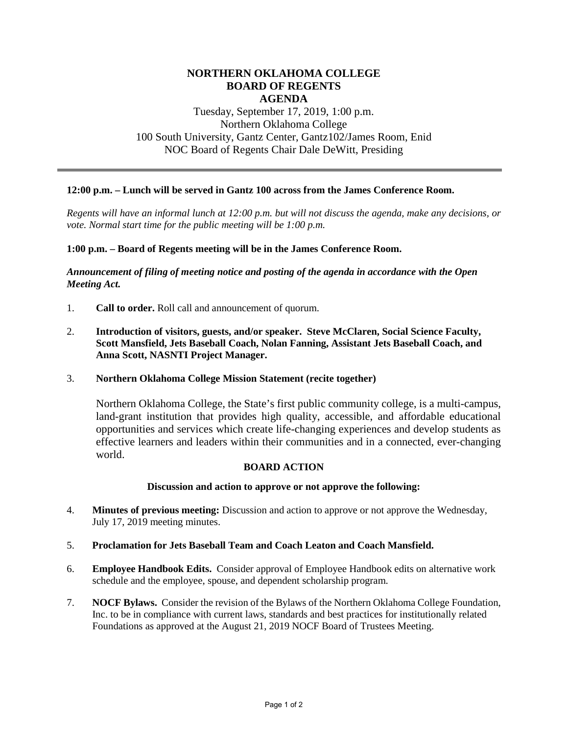## **NORTHERN OKLAHOMA COLLEGE BOARD OF REGENTS AGENDA**

# Tuesday, September 17, 2019, 1:00 p.m. Northern Oklahoma College 100 South University, Gantz Center, Gantz102/James Room, Enid NOC Board of Regents Chair Dale DeWitt, Presiding

## **12:00 p.m. – Lunch will be served in Gantz 100 across from the James Conference Room.**

*Regents will have an informal lunch at 12:00 p.m. but will not discuss the agenda, make any decisions, or vote. Normal start time for the public meeting will be 1:00 p.m.* 

## **1:00 p.m. – Board of Regents meeting will be in the James Conference Room.**

*Announcement of filing of meeting notice and posting of the agenda in accordance with the Open Meeting Act.*

- 1. **Call to order.** Roll call and announcement of quorum.
- 2. **Introduction of visitors, guests, and/or speaker. Steve McClaren, Social Science Faculty, Scott Mansfield, Jets Baseball Coach, Nolan Fanning, Assistant Jets Baseball Coach, and Anna Scott, NASNTI Project Manager.**

#### 3. **Northern Oklahoma College Mission Statement (recite together)**

Northern Oklahoma College, the State's first public community college, is a multi-campus, land-grant institution that provides high quality, accessible, and affordable educational opportunities and services which create life-changing experiences and develop students as effective learners and leaders within their communities and in a connected, ever-changing world.

#### **BOARD ACTION**

## **Discussion and action to approve or not approve the following:**

- 4. **Minutes of previous meeting:** Discussion and action to approve or not approve the Wednesday, July 17, 2019 meeting minutes.
- 5. **Proclamation for Jets Baseball Team and Coach Leaton and Coach Mansfield.**
- 6. **Employee Handbook Edits.** Consider approval of Employee Handbook edits on alternative work schedule and the employee, spouse, and dependent scholarship program.
- 7. **NOCF Bylaws.** Consider the revision of the Bylaws of the Northern Oklahoma College Foundation, Inc. to be in compliance with current laws, standards and best practices for institutionally related Foundations as approved at the August 21, 2019 NOCF Board of Trustees Meeting.